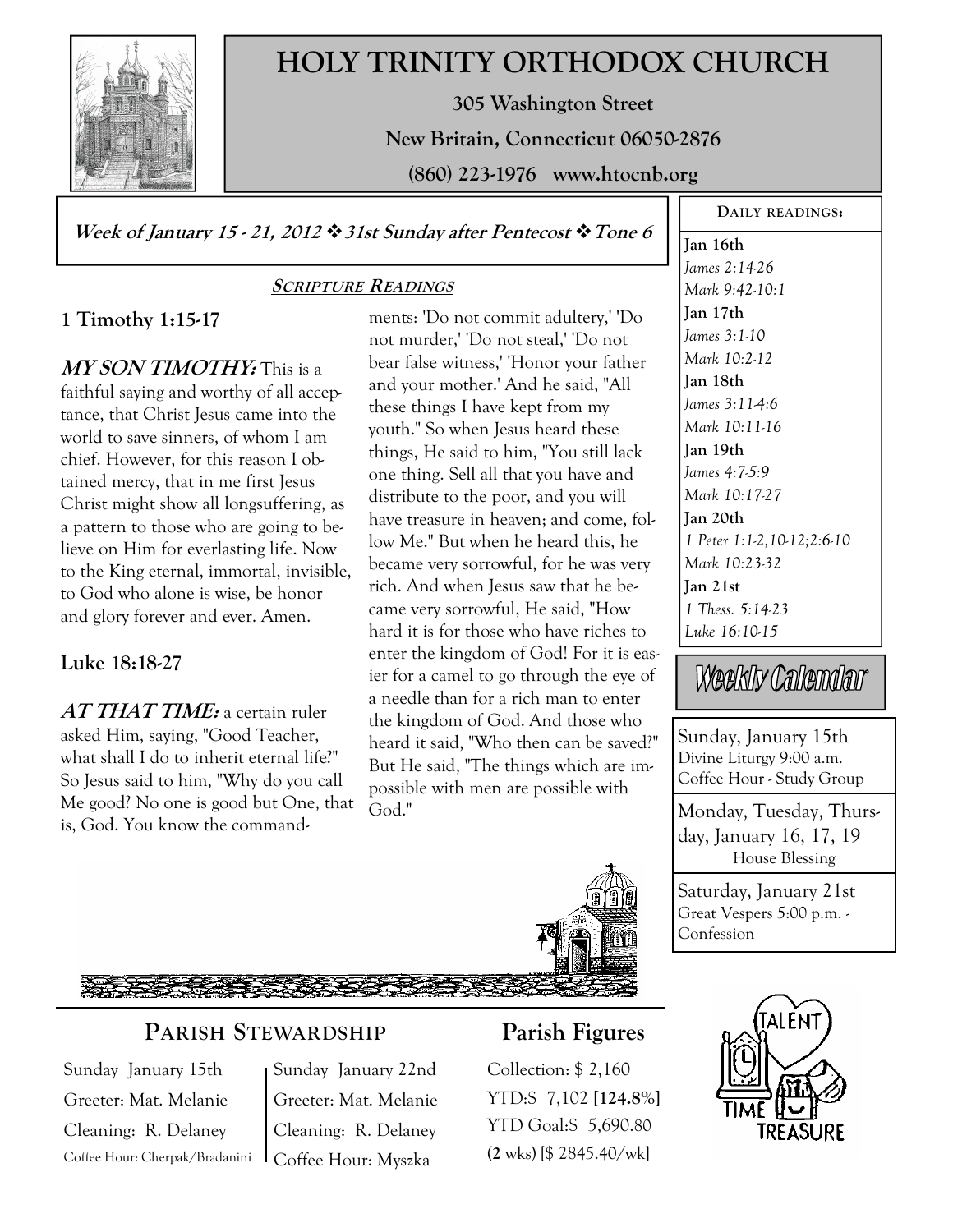

# **HOLY TRINITY ORTHODOX CHURCH**

**305 Washington Street** 

**New Britain, Connecticut 06050-2876** 

**(860) 223-1976 www.htocnb.org** 

**Week of January 15 - 21, 2012 31st Sunday after Pentecost Tone 6** 

### **SCRIPTURE READINGS**

# **1 Timothy 1:15-17**

**MY SON TIMOTHY:** This is a faithful saying and worthy of all acceptance, that Christ Jesus came into the world to save sinners, of whom I am chief. However, for this reason I obtained mercy, that in me first Jesus Christ might show all longsuffering, as a pattern to those who are going to believe on Him for everlasting life. Now to the King eternal, immortal, invisible, to God who alone is wise, be honor and glory forever and ever. Amen.

# **Luke 18:18-27**

**AT THAT TIME:** a certain ruler asked Him, saying, "Good Teacher, what shall I do to inherit eternal life?" So Jesus said to him, "Why do you call Me good? No one is good but One, that is, God. You know the commandments: 'Do not commit adultery,' 'Do not murder,' 'Do not steal,' 'Do not bear false witness,' 'Honor your father and your mother.' And he said, "All these things I have kept from my youth." So when Jesus heard these things, He said to him, "You still lack one thing. Sell all that you have and distribute to the poor, and you will have treasure in heaven; and come, follow Me." But when he heard this, he became very sorrowful, for he was very rich. And when Jesus saw that he became very sorrowful, He said, "How hard it is for those who have riches to enter the kingdom of God! For it is easier for a camel to go through the eye of a needle than for a rich man to enter the kingdom of God. And those who heard it said, "Who then can be saved?" But He said, "The things which are impossible with men are possible with God."



**DAILY READINGS:** 

Weekly Calendar

Sunday, January 15th Divine Liturgy 9:00 a.m. Coffee Hour - Study Group

Monday, Tuesday, Thursday, January 16, 17, 19 House Blessing

Saturday, January 21st Great Vespers 5:00 p.m. - Confession



# **PARISH STEWARDSHIP**

Sunday January 15th Greeter: Mat. Melanie Cleaning: R. Delaney Coffee Hour: Cherpak/Bradanini Sunday January 22nd Greeter: Mat. Melanie Cleaning: R. Delaney Coffee Hour: Myszka

# **Parish Figures**

Collection: \$ 2,160 YTD:\$ 7,102 **[124.8%]** YTD Goal:\$ 5,690.80 (**2** wks) [\$ 2845.40/wk]